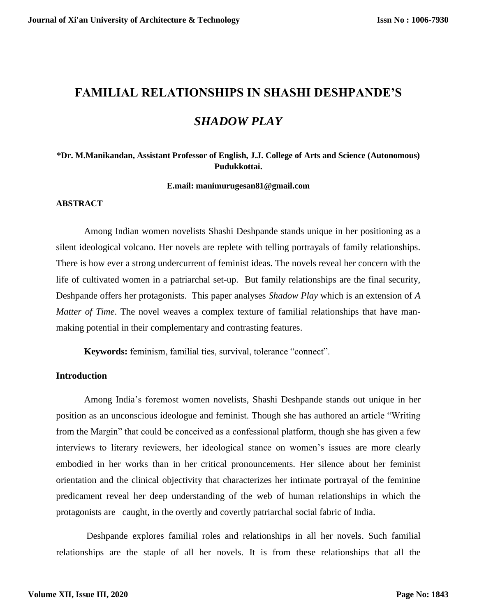# **FAMILIAL RELATIONSHIPS IN SHASHI DESHPANDE'S**  *SHADOW PLAY*

## **\*Dr. M.Manikandan, Assistant Professor of English, J.J. College of Arts and Science (Autonomous) Pudukkottai.**

**E.mail: manimurugesan81@gmail.com**

#### **ABSTRACT**

Among Indian women novelists Shashi Deshpande stands unique in her positioning as a silent ideological volcano. Her novels are replete with telling portrayals of family relationships. There is how ever a strong undercurrent of feminist ideas. The novels reveal her concern with the life of cultivated women in a patriarchal set-up. But family relationships are the final security, Deshpande offers her protagonists. This paper analyses *Shadow Play* which is an extension of *A Matter of Time*. The novel weaves a complex texture of familial relationships that have manmaking potential in their complementary and contrasting features.

**Keywords:** feminism, familial ties, survival, tolerance "connect".

#### **Introduction**

Among India's foremost women novelists, Shashi Deshpande stands out unique in her position as an unconscious ideologue and feminist. Though she has authored an article "Writing from the Margin" that could be conceived as a confessional platform, though she has given a few interviews to literary reviewers, her ideological stance on women's issues are more clearly embodied in her works than in her critical pronouncements. Her silence about her feminist orientation and the clinical objectivity that characterizes her intimate portrayal of the feminine predicament reveal her deep understanding of the web of human relationships in which the protagonists are caught, in the overtly and covertly patriarchal social fabric of India.

Deshpande explores familial roles and relationships in all her novels. Such familial relationships are the staple of all her novels. It is from these relationships that all the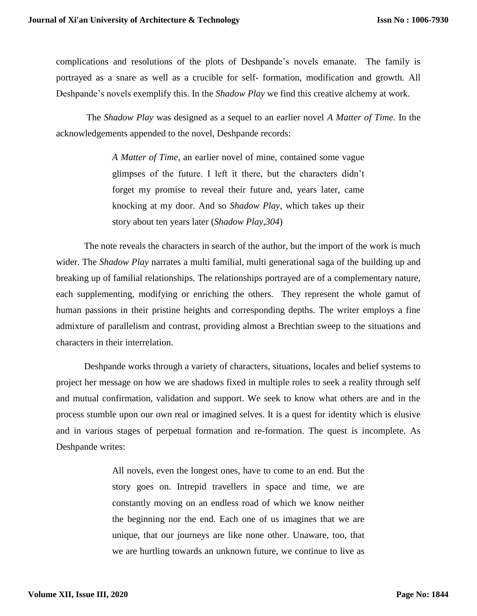complications and resolutions of the plots of Deshpande's novels emanate. The family is portrayed as a snare as well as a crucible for self- formation, modification and growth. All Deshpande's novels exemplify this. In the *Shadow Play* we find this creative alchemy at work.

The *Shadow Play* was designed as a sequel to an earlier novel *A Matter of Time.* In the acknowledgements appended to the novel, Deshpande records:

> *A Matter of Time*, an earlier novel of mine, contained some vague glimpses of the future. I left it there, but the characters didn't forget my promise to reveal their future and, years later, came knocking at my door. And so *Shadow Play*, which takes up their story about ten years later (*Shadow Play,304*)

The note reveals the characters in search of the author, but the import of the work is much wider. The *Shadow Play* narrates a multi familial, multi generational saga of the building up and breaking up of familial relationships. The relationships portrayed are of a complementary nature, each supplementing, modifying or enriching the others. They represent the whole gamut of human passions in their pristine heights and corresponding depths. The writer employs a fine admixture of parallelism and contrast, providing almost a Brechtian sweep to the situations and characters in their interrelation.

Deshpande works through a variety of characters, situations, locales and belief systems to project her message on how we are shadows fixed in multiple roles to seek a reality through self and mutual confirmation, validation and support. We seek to know what others are and in the process stumble upon our own real or imagined selves. It is a quest for identity which is elusive and in various stages of perpetual formation and re-formation. The quest is incomplete. As Deshpande writes:

> All novels, even the longest ones, have to come to an end. But the story goes on. Intrepid travellers in space and time, we are constantly moving on an endless road of which we know neither the beginning nor the end. Each one of us imagines that we are unique, that our journeys are like none other. Unaware, too, that we are hurtling towards an unknown future, we continue to live as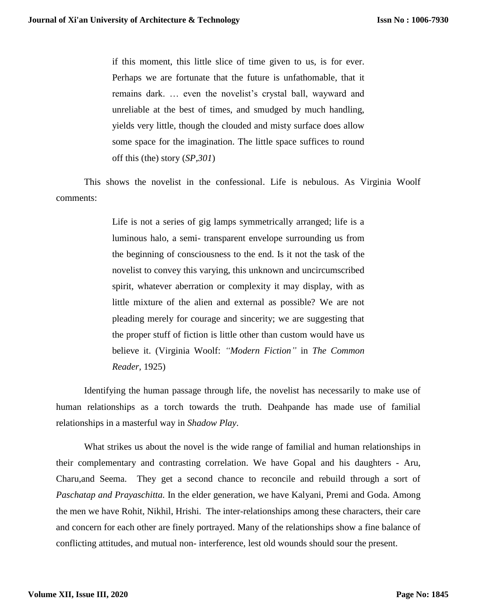if this moment, this little slice of time given to us, is for ever. Perhaps we are fortunate that the future is unfathomable, that it remains dark. … even the novelist's crystal ball, wayward and unreliable at the best of times, and smudged by much handling, yields very little, though the clouded and misty surface does allow some space for the imagination. The little space suffices to round off this (the) story (*SP,301*)

This shows the novelist in the confessional. Life is nebulous. As Virginia Woolf comments:

> Life is not a series of gig lamps symmetrically arranged; life is a luminous halo, a semi- transparent envelope surrounding us from the beginning of consciousness to the end. Is it not the task of the novelist to convey this varying, this unknown and uncircumscribed spirit, whatever aberration or complexity it may display, with as little mixture of the alien and external as possible? We are not pleading merely for courage and sincerity; we are suggesting that the proper stuff of fiction is little other than custom would have us believe it. (Virginia Woolf: *"Modern Fiction"* in *The Common Reader,* 1925)

Identifying the human passage through life, the novelist has necessarily to make use of human relationships as a torch towards the truth. Deahpande has made use of familial relationships in a masterful way in *Shadow Play*.

What strikes us about the novel is the wide range of familial and human relationships in their complementary and contrasting correlation. We have Gopal and his daughters - Aru, Charu,and Seema. They get a second chance to reconcile and rebuild through a sort of *Paschatap and Prayaschitta.* In the elder generation, we have Kalyani, Premi and Goda. Among the men we have Rohit, Nikhil, Hrishi. The inter-relationships among these characters, their care and concern for each other are finely portrayed. Many of the relationships show a fine balance of conflicting attitudes, and mutual non- interference, lest old wounds should sour the present.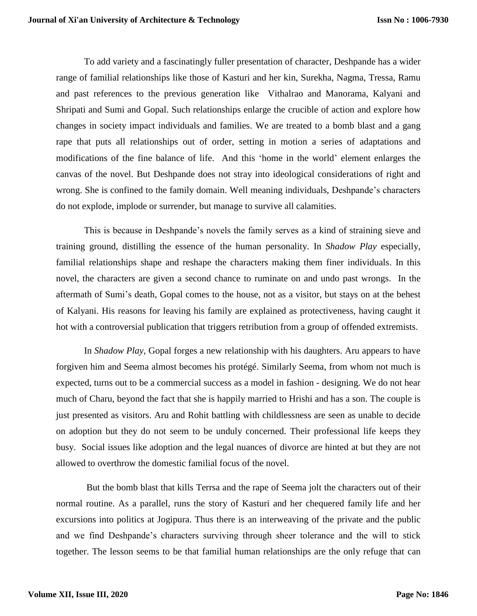To add variety and a fascinatingly fuller presentation of character, Deshpande has a wider range of familial relationships like those of Kasturi and her kin, Surekha, Nagma, Tressa, Ramu and past references to the previous generation like Vithalrao and Manorama, Kalyani and Shripati and Sumi and Gopal. Such relationships enlarge the crucible of action and explore how changes in society impact individuals and families. We are treated to a bomb blast and a gang rape that puts all relationships out of order, setting in motion a series of adaptations and modifications of the fine balance of life. And this 'home in the world' element enlarges the canvas of the novel. But Deshpande does not stray into ideological considerations of right and wrong. She is confined to the family domain. Well meaning individuals, Deshpande's characters do not explode, implode or surrender, but manage to survive all calamities.

This is because in Deshpande's novels the family serves as a kind of straining sieve and training ground, distilling the essence of the human personality. In *Shadow Play* especially, familial relationships shape and reshape the characters making them finer individuals. In this novel, the characters are given a second chance to ruminate on and undo past wrongs. In the aftermath of Sumi's death, Gopal comes to the house, not as a visitor, but stays on at the behest of Kalyani. His reasons for leaving his family are explained as protectiveness, having caught it hot with a controversial publication that triggers retribution from a group of offended extremists.

In *Shadow Play,* Gopal forges a new relationship with his daughters. Aru appears to have forgiven him and Seema almost becomes his protégé. Similarly Seema, from whom not much is expected, turns out to be a commercial success as a model in fashion - designing. We do not hear much of Charu, beyond the fact that she is happily married to Hrishi and has a son. The couple is just presented as visitors. Aru and Rohit battling with childlessness are seen as unable to decide on adoption but they do not seem to be unduly concerned. Their professional life keeps they busy. Social issues like adoption and the legal nuances of divorce are hinted at but they are not allowed to overthrow the domestic familial focus of the novel.

But the bomb blast that kills Terrsa and the rape of Seema jolt the characters out of their normal routine. As a parallel, runs the story of Kasturi and her chequered family life and her excursions into politics at Jogipura. Thus there is an interweaving of the private and the public and we find Deshpande's characters surviving through sheer tolerance and the will to stick together. The lesson seems to be that familial human relationships are the only refuge that can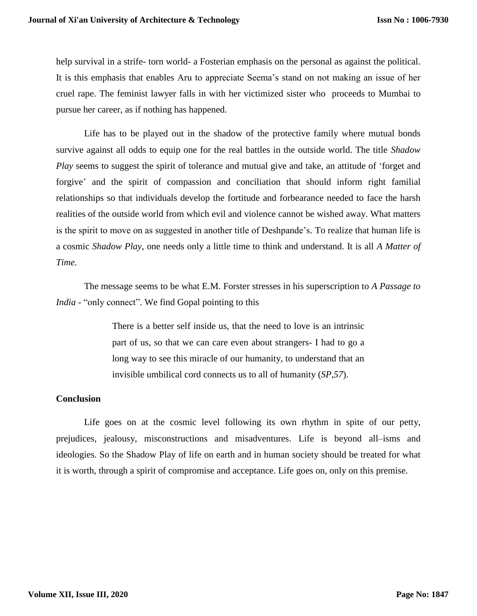help survival in a strife- torn world- a Fosterian emphasis on the personal as against the political. It is this emphasis that enables Aru to appreciate Seema's stand on not making an issue of her cruel rape. The feminist lawyer falls in with her victimized sister who proceeds to Mumbai to pursue her career, as if nothing has happened.

Life has to be played out in the shadow of the protective family where mutual bonds survive against all odds to equip one for the real battles in the outside world. The title *Shadow Play* seems to suggest the spirit of tolerance and mutual give and take, an attitude of 'forget and forgive' and the spirit of compassion and conciliation that should inform right familial relationships so that individuals develop the fortitude and forbearance needed to face the harsh realities of the outside world from which evil and violence cannot be wished away. What matters is the spirit to move on as suggested in another title of Deshpande's. To realize that human life is a cosmic *Shadow Play*, one needs only a little time to think and understand. It is all *A Matter of Time.*

The message seems to be what E.M. Forster stresses in his superscription to *A Passage to India* - "only connect". We find Gopal pointing to this

> There is a better self inside us, that the need to love is an intrinsic part of us, so that we can care even about strangers- I had to go a long way to see this miracle of our humanity, to understand that an invisible umbilical cord connects us to all of humanity (*SP,57*).

### **Conclusion**

Life goes on at the cosmic level following its own rhythm in spite of our petty, prejudices, jealousy, misconstructions and misadventures. Life is beyond all–isms and ideologies. So the Shadow Play of life on earth and in human society should be treated for what it is worth, through a spirit of compromise and acceptance. Life goes on, only on this premise.